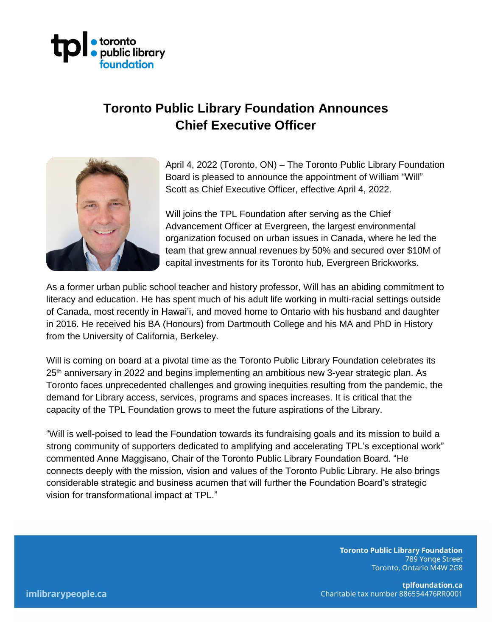

## **Toronto Public Library Foundation Announces Chief Executive Officer**



April 4, 2022 (Toronto, ON) – The Toronto Public Library Foundation Board is pleased to announce the appointment of William "Will" Scott as Chief Executive Officer, effective April 4, 2022.

Will joins the TPL Foundation after serving as the Chief Advancement Officer at Evergreen, the largest environmental organization focused on urban issues in Canada, where he led the team that grew annual revenues by 50% and secured over \$10M of capital investments for its Toronto hub, Evergreen Brickworks.

As a former urban public school teacher and history professor, Will has an abiding commitment to literacy and education. He has spent much of his adult life working in multi-racial settings outside of Canada, most recently in Hawai'i, and moved home to Ontario with his husband and daughter in 2016. He received his BA (Honours) from Dartmouth College and his MA and PhD in History from the University of California, Berkeley.

Will is coming on board at a pivotal time as the Toronto Public Library Foundation celebrates its 25<sup>th</sup> anniversary in 2022 and begins implementing an ambitious new 3-year strategic plan. As Toronto faces unprecedented challenges and growing inequities resulting from the pandemic, the demand for Library access, services, programs and spaces increases. It is critical that the capacity of the TPL Foundation grows to meet the future aspirations of the Library.

"Will is well-poised to lead the Foundation towards its fundraising goals and its mission to build a strong community of supporters dedicated to amplifying and accelerating TPL's exceptional work" commented Anne Maggisano, Chair of the Toronto Public Library Foundation Board. "He connects deeply with the mission, vision and values of the Toronto Public Library. He also brings considerable strategic and business acumen that will further the Foundation Board's strategic vision for transformational impact at TPL."

> **Toronto Public Library Foundation** 789 Yonge Street Toronto, Ontario M4W 2G8

tplfoundation.ca Charitable tax number 886554476RR0001